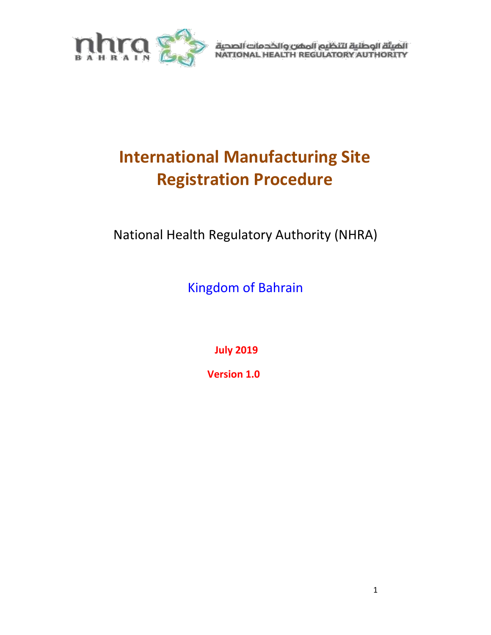

الهيئة الوطنية لتنظيم المفن والخدمات الصحية<br>NATIONAL HEALTH REGULATORY AUTHORITY

# **International Manufacturing Site Registration Procedure**

National Health Regulatory Authority (NHRA)

Kingdom of Bahrain

**July 2019**

 **Version 1.0**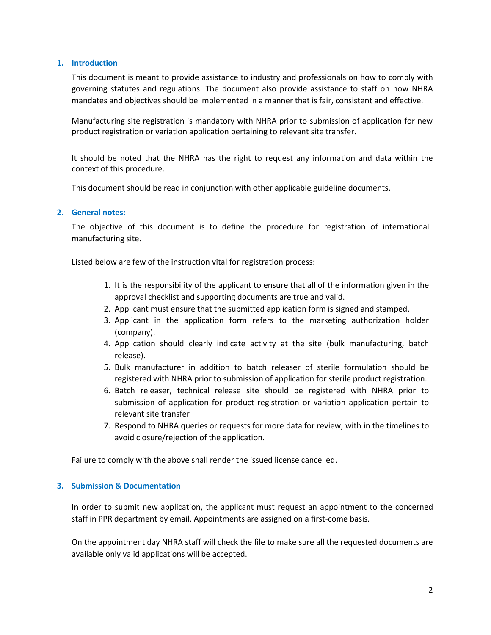#### **1. Introduction**

This document is meant to provide assistance to industry and professionals on how to comply with governing statutes and regulations. The document also provide assistance to staff on how NHRA mandates and objectives should be implemented in a manner that is fair, consistent and effective.

Manufacturing site registration is mandatory with NHRA prior to submission of application for new product registration or variation application pertaining to relevant site transfer.

It should be noted that the NHRA has the right to request any information and data within the context of this procedure.

This document should be read in conjunction with other applicable guideline documents.

#### **2. General notes:**

The objective of this document is to define the procedure for registration of international manufacturing site.

Listed below are few of the instruction vital for registration process:

- 1. It is the responsibility of the applicant to ensure that all of the information given in the approval checklist and supporting documents are true and valid.
- 2. Applicant must ensure that the submitted application form is signed and stamped.
- 3. Applicant in the application form refers to the marketing authorization holder (company).
- 4. Application should clearly indicate activity at the site (bulk manufacturing, batch release).
- 5. Bulk manufacturer in addition to batch releaser of sterile formulation should be registered with NHRA prior to submission of application for sterile product registration.
- 6. Batch releaser, technical release site should be registered with NHRA prior to submission of application for product registration or variation application pertain to relevant site transfer
- 7. Respond to NHRA queries or requests for more data for review, with in the timelines to avoid closure/rejection of the application.

Failure to comply with the above shall render the issued license cancelled.

#### **3. Submission & Documentation**

In order to submit new application, the applicant must request an appointment to the concerned staff in PPR department by email. Appointments are assigned on a first-come basis.

On the appointment day NHRA staff will check the file to make sure all the requested documents are available only valid applications will be accepted.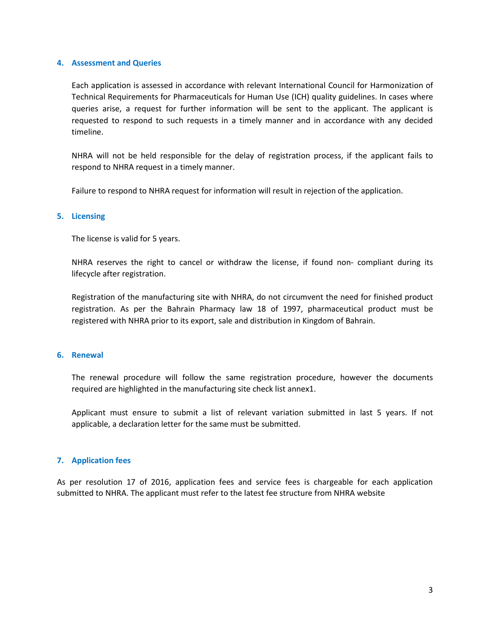#### **4. Assessment and Queries**

Each application is assessed in accordance with relevant International Council for Harmonization of Technical Requirements for Pharmaceuticals for Human Use (ICH) quality guidelines. In cases where queries arise, a request for further information will be sent to the applicant. The applicant is requested to respond to such requests in a timely manner and in accordance with any decided timeline.

NHRA will not be held responsible for the delay of registration process, if the applicant fails to respond to NHRA request in a timely manner.

Failure to respond to NHRA request for information will result in rejection of the application.

#### **5. Licensing**

The license is valid for 5 years.

NHRA reserves the right to cancel or withdraw the license, if found non- compliant during its lifecycle after registration.

Registration of the manufacturing site with NHRA, do not circumvent the need for finished product registration. As per the Bahrain Pharmacy law 18 of 1997, pharmaceutical product must be registered with NHRA prior to its export, sale and distribution in Kingdom of Bahrain.

### **6. Renewal**

The renewal procedure will follow the same registration procedure, however the documents required are highlighted in the manufacturing site check list annex1.

Applicant must ensure to submit a list of relevant variation submitted in last 5 years. If not applicable, a declaration letter for the same must be submitted.

#### **7. Application fees**

As per resolution 17 of 2016, application fees and service fees is chargeable for each application submitted to NHRA. The applicant must refer to the latest fee structure from NHRA website